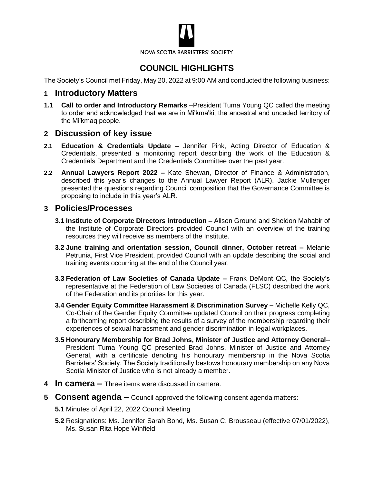

# **COUNCIL HIGHLIGHTS**

The Society's Council met Friday, May 20, 2022 at 9:00 AM and conducted the following business:

#### **1 Introductory Matters**

**1.1 Call to order and Introductory Remarks** –President Tuma Young QC called the meeting to order and acknowledged that we are in Mi'kma'ki, the ancestral and unceded territory of the Mi'kmaq people.

#### **2 Discussion of key issue**

- **2.1 Education & Credentials Update –** Jennifer Pink, Acting Director of Education & Credentials, presented a monitoring report describing the work of the Education & Credentials Department and the Credentials Committee over the past year.
- **2.2 Annual Lawyers Report 2022 –** Kate Shewan, Director of Finance & Administration, described this year's changes to the Annual Lawyer Report (ALR). Jackie Mullenger presented the questions regarding Council composition that the Governance Committee is proposing to include in this year's ALR.

### **3 Policies/Processes**

- **3.1 Institute of Corporate Directors introduction –** Alison Ground and Sheldon Mahabir of the Institute of Corporate Directors provided Council with an overview of the training resources they will receive as members of the Institute.
- **3.2 June training and orientation session, Council dinner, October retreat –** Melanie Petrunia, First Vice President, provided Council with an update describing the social and training events occurring at the end of the Council year.
- **3.3 Federation of Law Societies of Canada Update –** Frank DeMont QC, the Society's representative at the Federation of Law Societies of Canada (FLSC) described the work of the Federation and its priorities for this year.
- **3.4 Gender Equity Committee Harassment & Discrimination Survey –** Michelle Kelly QC, Co-Chair of the Gender Equity Committee updated Council on their progress completing a forthcoming report describing the results of a survey of the membership regarding their experiences of sexual harassment and gender discrimination in legal workplaces.
- **3.5 Honourary Membership for Brad Johns, Minister of Justice and Attorney General** President Tuma Young QC presented Brad Johns, Minister of Justice and Attorney General, with a certificate denoting his honourary membership in the Nova Scotia Barristers' Society. The Society traditionally bestows honourary membership on any Nova Scotia Minister of Justice who is not already a member.
- **4 In camera –** Three items were discussed in camera.
- **5 Consent agenda –** Council approved the following consent agenda matters:
	- **5.1** Minutes of April 22, 2022 Council Meeting
	- **5.2** Resignations: Ms. Jennifer Sarah Bond, Ms. Susan C. Brousseau (effective 07/01/2022), Ms. Susan Rita Hope Winfield